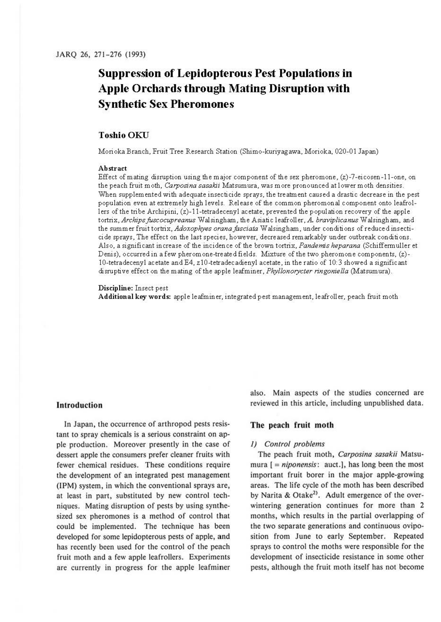# **Suppression of Lepidopterous Pest Populations in Apple Orchards through Mating Disruption with Synthetic Sex Pheromones**

# **ToshioOKU**

Morioka Branch, Fruit Tree Research Station (Shimo-kuriyagawa, Morioka, 020-01 Japan)

#### **Abstract**

Effect of mating disruption using the major component of the sex pheromone, (z)-7-eicosen-11-one, on the peach fruit moth, *Carposina sasakii* Matsumura, was more pronounced at lower moth densities. When supplemented with adequate insecticide sprays, the treatment caused a drastic decrease in the pest population even at extremely high levels. Release of the common pheromonal component onto leafrollers of the tribe Archipini, (z)-11-tetradecenyl acetate, prevented the population recovery of the apple tortrix, *Arc hips fuscocupreanus* Walsingham, the Asiatic I eafroll er, *A. braviplicanus* Walsingham, and the summer fruit tortrix, *Adoxophyes oranafasciata* Walsingham, under conditions of reduced insecticide sprays, The effect on the last species, however, decreased remarkably under outbreak conditions. Also, a significant increase of the incidence of the brown tortrix, *Pandemis heparana* (Schiffermuller et Denis), occurred in a few pheromone-treated fields. Mixture of the two pheromone components, (z)- 10-tetradecenyl acetate and E4, z 10-tetradecadienyl acetate, in the ratio of 10: 3 showed a significant disruptive effect on the mating of the apple leafminer, *Phyllonorycter ringoniella* (Matsumura).

#### **Discipline:** Insect pest

**Additional key words:** apple leafminer, integrated pest management, leafroller, peach fruit moth

# **Introduction**

In Japan, the occurrence of arthropod pests resistant to spray chemicals is a serious constraint on apple production. Moreover presently in the case of dessert apple the consumers prefer cleaner fruits with fewer chemical residues. These conditions require the development of an integrated pest management (1PM) system, in which the conventional sprays are, at least in part, substituted by new control techniques. Mating disruption of pests by using synthesized sex pheromones is a method of control that could be implemented. The technique has been developed for some lepidopterous pests of apple, and has recently been used for the control of the peach fruit moth and a few apple leafrollers. Experiments are currently in progress for the apple leafminer

also. Main aspects of the studies concerned are reviewed in this article, including unpublished data.

# **The peach fruit moth**

#### *I) Control problems*

The peach fruit moth, *Carposina sasakii* Matsumura [ = *niponensis:* auct.). has long been the most important fruit borer in the major apple-growing areas. The life cycle of the moth has been described by Narita & Otake<sup>2)</sup>. Adult emergence of the overwintering generation continues for more than 2 months, which results in the partial overlapping of the two separate generations and continuous oviposition from June to early September. Repeated sprays to control the moths were responsible for the development of insecticide resistance in some other pests, although the fruit moth itself has not become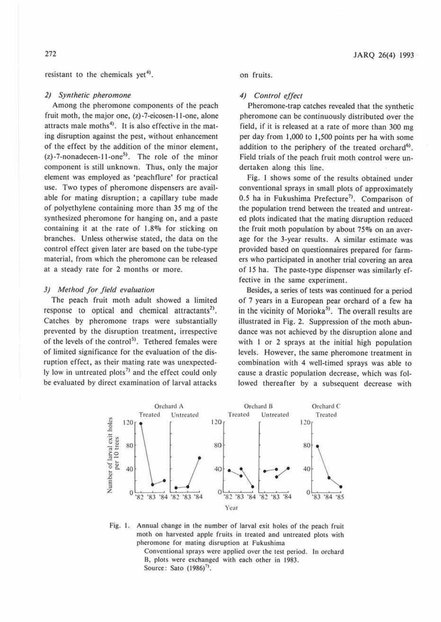resistant to the chemicals yet<sup>4)</sup>.

#### *2) Synthetic pheromone*

Among the pheromone components of the peach fruit moth, the major one, (z)-7-eicosen-11-one, alone attracts male moths<sup>4)</sup>. It is also effective in the mating disruption against the pest, without enhancement of the effect by the addition of the minor element,  $(z)$ -7-nonadecen-11-one<sup>5)</sup>. The role of the minor component is still unknown. Thus, only the major clement was employed as 'peachflure' for practical use. Two types of pheromone dispensers are available for mating disruption; a capillary tube made of polyethylene coniaining more than 35 mg of the synthesized pheromone for hanging on, and a paste containing it at the rate of 1.8% for sticking on branches. Unless otherwise stated, the data on the control effect given later are based on the tube-type material, from which the pheromone can be released at a steady rate for 2 months or more.

#### J) *Method for field evaluation*

The peach fruit moth adult showed a limited response to optical and chemical attractants<sup>2</sup>). Catches by pheromone traps were substantially prevented by the disruption treatment, irrespective of the levels of the control<sup>5)</sup>. Tethered females were of limited significance for the evaluation of the disruption effect, as their mating rate was unexpectedly low in untreated plots $\frac{1}{2}$  and the effect could only be evaluated by direct examination of larval attacks

## on fruits.

### *4) Control effect*

Pheromone-trap catches revealed that the synthetic pheromone can be continuously distributed over the field, if it is released at a rate of more than 300 mg per day from 1,000 to 1,500 points per ha with some addition to the periphery of the treated orchard<sup>6)</sup>. Field trials of the peach fruit moth control were undertaken along this line.

Fig. 1 shows some of the results obtained under convemional sprays in small plots of approximately 0.5 ha in Fukushima Prefecture<sup>7)</sup>. Comparison of the population trend between the treated and untreated plots indicated that the mating disruption reduced the fruit moth population by about 75% on an average for the 3-ycar results. A similar estimate was provided based on questionnaires prepared for farmers who participated in another trial covering an area of 15 ha. The paste-type dispenser was similarly effective in the same experiment.

Besides, a series of tests was cominued for a period of 7 years in a European pear orchard of a few ha in the vicinity of Morioka<sup>5</sup>. The overall results are illustrated in Fig. 2. Suppression of the moth abundance was not achieved by the disruption alone and with 1 or 2 sprays at the initial high population levels. However, the same pheromone treatment in combination with 4 well-timed sprays was able to cause a drastic population decrease, which was followed thereafter by a subsequent decrease with



Fig. 1. Annual change in the number of larval exit holes of the peach fruit moth on harvcsied apple fruits in treated and untreated plots with pheromone for mating disruption at Fukushima

Conventional sprays were applied over the test period. In orchard B, plots were exchanged with each other in 1983. Source: Sato (1986)<sup>7)</sup>.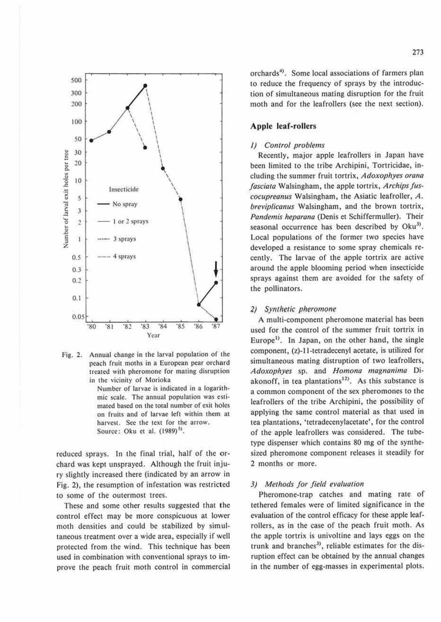



Number of larvae is indicated in a logarithmic scale. The annual population was estimated based on the total number of exit holes on fruits and of larvae left within them at harvest. See the text for the arrow. Source: Oku et al. (1989)<sup>5)</sup>.

reduced sprays. In the final trial, half of the orchard was kept unsprayed. Although the fruit injury slightly increased there (indicated by an arrow in Fig. 2), the resumption of infestation was restricted to some of the outermost trees.

These and some other results suggested that the control effect may be more conspicuous at lower moth densities and could be stabilized by simultaneous treatment over a wide area, especially if well protected from the wind. This technique has been used in combination with conventional sprays to improve the peach fruit moth control in commercial orchards<sup>4)</sup>. Some local associations of farmers plan to reduce the frequency of sprays by the introduction of simultaneous mating disruption for the fruit moth and for the leafrollers (see the next section).

# Apple leaf-rollers

## 1) Control problems

Recently, major apple leafrollers in Japan have been limited to the tribe Archipini, Tortricidae, including the summer fruit tortrix, Adoxophyes orana fasciata Walsingham, the apple tortrix, Archips fuscocupreanus Walsingham, the Asiatic leafroller, A. breviplicanus Walsingham, and the brown tortrix, Pandemis heparana (Denis et Schiffermuller). Their seasonal occurrence has been described by Oku<sup>3)</sup>. Local populations of the former two species have developed a resistance to some spray chemicals recently. The larvae of the apple tortrix are active around the apple blooming period when insecticide sprays against them are avoided for the safety of the pollinators.

## 2) Synthetic pheromone

A multi-component pheromone material has been used for the control of the summer fruit tortrix in Europe<sup>1)</sup>. In Japan, on the other hand, the single component, (z)-11-tetradecenyl acetate, is utilized for simultaneous mating distruption of two leafrollers, Adoxophyes sp. and Homona magnanima Diakonoff, in tea plantations<sup>12)</sup>. As this substance is a common component of the sex pheromones to the leafrollers of the tribe Archipini, the possibility of applying the same control material as that used in tea plantations, 'tetradecenylacetate', for the control of the apple leafrollers was considered. The tubetype dispenser which contains 80 mg of the synthesized pheromone component releases it steadily for 2 months or more.

# 3) Methods for field evaluation

Pheromone-trap catches and mating rate of tethered females were of limited significance in the evaluation of the control efficacy for these apple leafrollers, as in the case of the peach fruit moth. As the apple tortrix is univoltine and lays eggs on the trunk and branches<sup>3</sup>, reliable estimates for the disruption effect can be obtained by the annual changes in the number of egg-masses in experimental plots.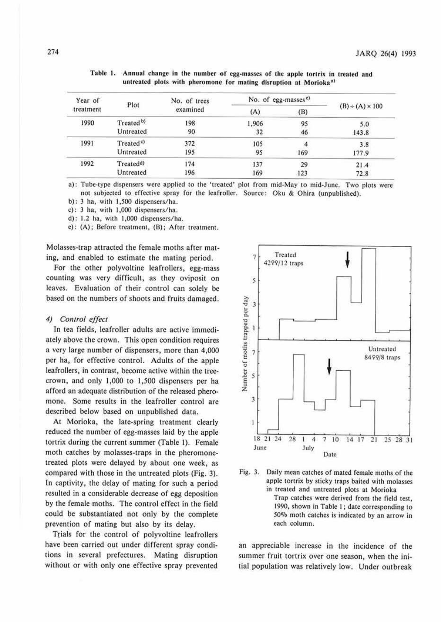| Year of<br>treatment | Plot                   | No. of trees<br>examined | No. of egg-masses <sup>e)</sup> |     |                        |
|----------------------|------------------------|--------------------------|---------------------------------|-----|------------------------|
|                      |                        |                          | (A)                             | (B) | $(B) + (A) \times 100$ |
| 1990<br>---          | Treated <sup>b)</sup>  | 198                      | 1,906                           | 95  | 5.0                    |
|                      | Untreated              | 90                       | 32                              | 46  | 143.8                  |
| 1991                 | Treated <sup>c)</sup>  | 372                      | 105                             |     | 3.8                    |
|                      | Untreated              | 195                      | 95                              | 169 | 177.9                  |
| 1992                 | Treated <sup>d</sup> ) | 174                      | 137                             | 29  | 21.4                   |
|                      | Untreated              | 196                      | 169                             | 123 | 72.8                   |

Table 1. Annual change in the number of egg-masses of the apple tortrix in treated and untreated plots with pheromone for mating disruption at Morioka<sup>a)</sup>

a): Tube-type dispensers were applied 10 the 'treated' plot from mid-May 10 mid-June. Two plots were not subjected to effective spray for the leafroller. Source: Oku & Ohira (unpublished).

b): 3 ha, with 1,500 dispensers/ha.

c): 3 ha, with 1,000 dispensers/ha.

d) : 1.2 ha, with 1,000 dispensers/ha.

e): (A); Before treatment, (B); After treatment.

Molasses-trap attracted the female moths after mating, and enabled to estimate the mating period.

For the other polyvoltine leafrollers, egg-mass counting was very difficult, as they oviposit on leaves. Evaluation of their control can solely be based on the numbers of shoots and fruits damaged.

#### *4) Control effect*

In tea fields, lcafroller adults are active immediately above the crown. This open condition requires a very large number of dispensers, more than 4,000 per ha, for effective control. Adults of the apple leafrollers, in contrast, become active within the treecrown, and only 1,000 to 1,500 dispensers per ha afford an adequate distribution of the released pheromone. Some results in the leafroller control **are**  described below based on unpublished data.

At Morioka, the late-spring treatment clearly reduced the number of egg-masses laid by the apple tortrix during the current summer (Table I). Female moth catches by molasses-traps in the pheromonetreated plots were delayed by about one week, as compared with those in the untreated plots (Fig. 3). In captivity, the delay of mating for such a period resulted in a considerable decrease of egg deposition by the female moths. The control effect in the field could be substantiated not only by the complete prevention of mating but also by its delay.

Trials for the control of polyvoltine leafrollers have been carried out under different spray conditions in several prefectures. Mating disruption without or with only one effective spray prevented





an appreciable increase in the incidence of the summer fruit tortrix over one season, when the initial population was relatively low. Under outbreak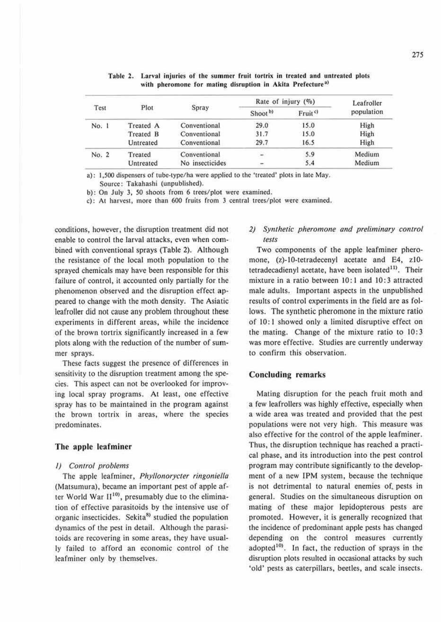| Test  | Plot      | Spray           | Rate of injury (%)       |                     | Leafroller |
|-------|-----------|-----------------|--------------------------|---------------------|------------|
|       |           |                 | Shoot <sup>b)</sup>      | Fruit <sup>c)</sup> | population |
| No. 1 | Treated A | Conventional    | 29.0                     | 15.0                | High       |
|       | Treated B | Conventional    | 31.7                     | 15.0                | High       |
|       | Untreated | Conventional    | 29.7                     | 16.5                | High       |
| No. 2 | Treated   | Conventional    | $\overline{\phantom{a}}$ | 5.9                 | Medium     |
|       | Untreated | No insecticides | $\blacksquare$           | 5.4                 | Medium     |

Table 2. Larval injuries of the summer fruit tortrix in treated and untreated plots with pheromone for mating disruption in Akita Prefecture<sup>a)</sup>

a): 1,500 dispensers of tube-type/ha were applied to the 'treated' plots in late May.

Source: Takahashi (unpublished).

b): On July 3, 50 shoots from 6 trees/plot were examined.

c): At harvest, more than 600 fruits from 3 central trees/plot were examined.

conditions, however, the disruption treatment did not enable to control the larval attacks, even when combined with conventional sprays (Table 2). Although the resistance of the local moth population to the sprayed chemicals may have been responsible for this failure of control, it accounted only partially for the phenomenon observed and the disruption effect **ap**peared to change with the moth density. The Asiatic leafroller did not cause any problem throughout these experiments in different areas, while the incidence of the brown tortrix significantly increased in a few plots along with the reduction of the number of summer sprays.

These facts suggest the presence of differences in sensitivity to the disruption treatment among the species. This aspect can not be overlooked for improving local spray programs. At least, one effective spray has to be maintained in the program against the brown tortrix in areas, where the species predominates.

## **The apple leafminer**

#### 1) Control problems

The apple leafminer, Phyllonorycter ringoniella (Matsumura), became an important pest of apple after World War  $II^{10}$ , presumably due to the elimination of effective parasitoids by the intensive use of organic insecticides. Sekita<sup>8)</sup> studied the population dynamics of the pest in detail. Although the parasitoids are recovering in some areas, they have usually failed to afford an economic control of the leafminer only by themselves.

# 2) Synlhetic pheromone and preliminary control tests

Two components of the apple leafminer pheromone, (z)-10-tetradecenyl acetate and E4, z10tetradecadienyl acetate, have been isolated<sup>11)</sup>. Their mixture in a ratio between 10:1 and 10:3 attracted male adulis. Important aspects in the unpublished results of control experiments in the field are as follows. The symhetic pheromone in the mixture ratio of LO: I showed only a limited disruptive effect on the mating. Change of the mixture ratio to 10:3 was more effective. Studies are currently underway to confirm this observation.

## **Concluding remarks**

Mating disruption for the peach fruit moth and a few leafrollers was highly effective, especially when a wide area was treated and provided that the pest populations were not very high. This measure was also effective for the control of the apple leafminer. Thus, the disruption technique has reached a practical phase, and its introduction into the pest control program may contribute significantly to the development of a new 1PM system, because the technique is not detrimental to natural enemies of. pests in general. Studies on the simultaneous disruption on mating of these major lepidopterous pests arc promoted. However, it is generally recognized that the incidence of predominant apple pests has changed depending on the control measures currently adopted<sup>10)</sup>. In fact, the reduction of sprays in the disruption plots resulted in occasional attacks by such 'old' pests as caterpillars, beetles, and scale insects.